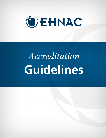

# Accreditation Guidelines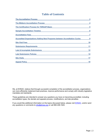# **Table of Contents**

| <b>The Accreditation Process</b>                                                 | $\mathbf{3}$ |
|----------------------------------------------------------------------------------|--------------|
| <b>The Midterm Accreditation Process</b>                                         |              |
| The Certification Process for TDRAAP-Basic                                       | 5            |
| <b>Sample Accreditation Timeline</b>                                             | 6            |
| <b>Accreditation Fees</b>                                                        | 7            |
| <b>Accredited Organizations Adding New Programs between Accreditation Cycles</b> | 9            |
| <b>Site Visit Fees</b>                                                           | 10           |
| <b>Submission Requirements</b>                                                   | 11           |
| <b>Late &amp; Incomplete Submissions</b>                                         | 12           |
| <b>Late Submission Policies</b>                                                  | 14           |
| <b>Site Visits</b>                                                               | 17           |
| <b>Appeal Policy</b>                                                             | 19           |

We, at EHNAC, believe that through successful completion of the accreditation process, organizations can more efficiently implement best practices, improve performance and comply with industry legislative mandates and standards.

These guidelines are intended to answer any questions you have on becoming accredited, including accreditation types, the denials and appeals process, modifications, and late penalties.

If you would like additional information on the topics discussed below, please visit **EHNAC**, and/or send any questions or comments to [info@ehnac.org](mailto:info@ehnac.org) or call 860-408-1620.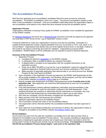## <span id="page-2-0"></span>**The Accreditation Process**

Both first time applicants and re-accreditation candidates follow the same process for achieving accreditation. The EHNAC accreditation cycle is for 2 years. The previous accreditation ceases to exist when a new accreditation is achieved. Once an accreditation ballot takes place the organization begins a new accreditation cycle based on the criteria that were reviewed during that accreditation period.

#### **Application Process**

Organizations interested in knowing if they qualify for EHNAC accreditation must complete the application on the EHNAC website.

An [Applicant Agreement](https://www.ehnac.org/wp-content/uploads/2013/06/EHNAC-Applicant-Agreement-011819.pdf) document and a [Sentinel Events](https://www.ehnac.org/wp-content/uploads/2013/07/EHNAC-Sentinel-Event-Document-060822.pdf) document must both be signed by the applicant and submitted in PDF format via the "Log an Application" portal or email.

A financial statement to verify your organization's revenue must also be submitted. Examples of a suitable financial statement include a signed attestation from your accountant or CFO, a tax return or an Annual Report. Organizations that declare they are at the highest revenue level, or are State, Federal or Non-profit do not need to submit this document for validation. Organizations pursuing OSAP accreditation, TDRAAP-Basic or EPCS certification are not required to submit a financial statement.

#### **Summary of the Accreditation Process**

- 1. Application Process:
	- a. Complete the electronic [Application](http://www.ehnac.org/pre-application-form/) on the EHNAC website.
	- b. A clarification letter is emailed to gather any required information.
	- c. A detailed letter is emailed to the organization with the complete instructions on the application process.
	- d. Email, fax to (860) 760-6630 or Log into the "Log an Application" portal and upload the signed Applicant Agreement, Sentinel Events document, and revenue verification in PDF format.
	- e. Make payment of applicable application fees electronically or via check [Annual Fee, Multiple Program & Site Visit Fee(s)] to EHNAC.
- 2. Upon completion of the Application Process and approval, the EHNAC Self-Assessment zip file will be made available to the organization, the Reviewer will be assigned, and they will be added to the EHNAC website **Accreditation Status** page as a Candidate.
- 3. Submit complete Self-Assessment via EHNAC Self-assessment portal **4 months prior to the expiration date**. New applicants can submit the Self-assessment as soon as it is completed before the due date.
- 4. If the Self-Assessment contains sufficient satisfactory information and documentation a site visit(s) will be scheduled to verify the information contained in the Self-Assessment. If the assigned Reviewer has questions or determines that the submission is incomplete, they may request that the Self-Assessment be resubmitted before a date is set for site visit(s).
- 5. Site visits are completed, and the Reviewer completes the Accreditation Report.
- 6. Make payment of the Site Visit Expenses fee to EHNAC.
- 7. Applicant organization approves Accreditation Report.
- 8. The Commission reviews and votes on the Accreditation Report.
- 9. The organization will be informed whether the accreditation/certification has been approved or denied.
- 10. Upon approval of accreditation/certification and payment of all fees, the organization's status is changed to Accredited on the EHNAC website [Accreditation Status](http://www.ehnac.org/accredited-organizations/) page.

#### **Re-Accreditation:**

Occurs every two years from the date the candidate is accredited and is the same process which is followed for Accreditation (see Accreditation Process above). This includes submitting an application and satisfactorily completing the application process and is based upon information disclosed in which the pricing and/or number of physical site reviews may be revised accordingly. **It is important to remember that the Re-accreditation Process always begins 1 year prior to the expiration date.**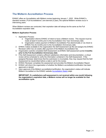## <span id="page-3-0"></span>**The Midterm Accreditation Process**

EHNAC offers an Accreditation with Midterm review beginning January 1, 2022. While EHNAC's standard reviews ("Full Accreditations") are biennial (2-year), the optional Midterm reviews occur in intervening years.

When Midterm reviews are conducted, their expiration date will always be the same as the Full Accreditation expiration date.

#### **Midterm Application Process**

- 1. Application Process:
	- a. Organization informs EHNAC of intent to have a Midterm review. This request must be made at least 6 months prior to the Accreditation One Year Anniversary date.
	- b. Organization makes payment of Midterm Accreditation Fee electronically or via check to EHNAC five (5) months prior to the Accreditation Anniversary date.
- 2. EHNAC makes available to the organization the Self-Assessment zip file and assigns the EHNAC Reviewer within two (2) weeks after payment of the Midterm Accreditation fee.
- 3. Organization submits completed Self-Assessment via EHNAC Self-assessment portal **2 months prior to the Full Accreditation Anniversary date**.
- 4. If the Self-Assessment contains sufficient satisfactory information and documentation, a virtual review will be scheduled to verify the information contained in the Self-Assessment. If the assigned Reviewer determines that the submission is incomplete, they may request that the Self-Assessment be resubmitted before a date is set for the review.
- 5. EHNAC Reviewer completes the assessment and provides the Midterm Accreditation Report.
- 6. EHNAC will inform the organization of whether the Midterm accreditation/certification has been approved or denied.
- 7. Upon approval of the Midterm accreditation/certification, the organization's status will indicate Midterm Accredited on the EHNAC website [Accreditation Status](http://www.ehnac.org/accredited-organizations/) page.

**IMPORTANT: If a satisfactory self-assessment is not received within one month following the organization's expiration date, a Midterm review will no longer be available for that accreditation cycle.**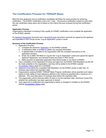## <span id="page-4-0"></span>**The Certification Process for TDRAAP-Basic**

Both first time applicants and re-certification candidates will follow the same process for achieving certification. The EHNAC certification cycle is for 1 year. The previous certification ceases to exist when the new certification takes place and is based on the criteria that was reviewed during that certification period.

#### **Application Process**

Organizations interested in knowing if they qualify for EHNAC certification must complete the application on the EHNAC website.

An [Applicant Agreement](https://www.ehnac.org/wp-content/uploads/2013/06/EHNAC-Applicant-Agreement-011819.pdf) document and a [Sentinel Events](https://www.ehnac.org/wp-content/uploads/2013/07/EHNAC-Sentinel-Event-Document-060822.pdf) document must both be signed by the applicant and submitted in PDF format via the "Log an Application" portal or email.

#### **Summary of the Certification Process**

- 1. Application Process:
	- a. Complete the electronic [Application](http://www.ehnac.org/pre-application-form/) on the EHNAC website.
	- b. A clarification letter is emailed to gather any required information.
	- c. A detailed letter is emailed to the organization with the complete instructions on the application process.
	- d. Email, fax to (860) 760-6630 or Log into the "Log an Application" portal and upload the signed Applicant Agreement, and Sentinel Events document in PDF format.
	- e. Make payment of applicable application fees electronically or via check to EHNAC.
- 2. Upon completion of the Application Process and approval, the EHNAC Self-Attestation zip file will be made available to the organization, and they will be added to the EHNAC website [Accreditation Status](http://www.ehnac.org/accredited-organizations/) page as a Candidate.
- 3. Applicant must submit the completed Self Attestation via the EHNAC portal no later than 10 business days before the expiration date.
- 4. Organizations seeking EHNAC TDRAAP-Basic Program certification will be awarded such status based on their ability to meet objectives defined in the Criteria as pass/fail with a maximum of 3 attempts. This must take place 10 business days before the expiration date.
- 5. The organization will be informed within 30 days or by the expiration date, whichever comes first, whether the certification has been approved or denied.
- 6. Upon approval of certification the organization's status is changed to Certified on the EHNAC website [Accreditation Status](http://www.ehnac.org/accredited-organizations/) page.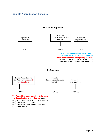## <span id="page-5-0"></span>**Sample Accreditation Timeline**

### **First Time Applicant**



Self-assessment. In any case, the

Self-assessment is due 8 months from the

Annual Fee due date.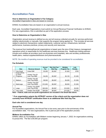## <span id="page-6-0"></span>**Accreditation Fees**

#### **How to determine an Organization's Fee Category**

*Accredited Organization's fees are based on revenue.*

EHNAC Accreditation fees are based on an organization's annual revenue.

Each year, Accredited Organizations must submit an Annual Revenue Financial Verification to EHNAC. For new organizations, this is submitted as part of the application process.

#### **How to Determine an Organization's Size**

Organization annual revenue is defined as any and all revenue collected annually for services performed, whether electronically or manually, that supports the program being applied for. This includes all services related to electronic transactions, patient statements, customer service, infrastructure, technical performance, business practices, privacy and security and resources.

The revenue from banking/financial organizations is based upon the size of their treasury management operations which is responsible for the healthcare services business line. Healthcare trading partners include such entities as providers (such as physicians and hospitals), labs and ancillary professionals, health plans, medical supplies/distributors and pharmaceuticals.

NOTE: Six months of operating revenue must be provided to be considered for accreditation.

|   | <b>Size</b>                        | <b>Revenue Amount</b>                 | Annual<br>Fee | <b>Site Visit Fee/</b><br>Site/Day | <b>Multiple</b><br><b>Program Fee</b> | Late<br><b>Penalty</b> |
|---|------------------------------------|---------------------------------------|---------------|------------------------------------|---------------------------------------|------------------------|
|   | <b>Verv Small</b>                  | Under \$3M                            | \$3,250       | $$5.000*$                          | \$1,625                               | \$750                  |
| 2 | Small, EPCS,<br>& OSAP<br>Programs | Greater Than \$3<br>Less Than \$8M    | \$4.250       | $$5.000*$                          | \$2,125                               | \$1,000                |
| 3 | Medium                             | Greater Than \$8<br>Less Than \$20M   | \$8.500       | \$8.000*                           | \$4,250                               | \$1,500                |
| 4 | Med/Large                          | Greater Than \$20<br>Less Than \$50M  | \$13,000      | \$8.000*                           | \$6,500                               | \$1,500                |
| 5 | Large                              | Greater Than \$50M<br>Less Than \$75M | \$20,000      | \$8.000*                           | \$10,000                              | \$2,000                |
| 6 | Very Large                         | Greater Than \$75M                    | \$26,500      | \$8.000*                           | \$13.250                              | \$2.000                |

#### **Fee Schedule**

**Note – Federal, state and non-profit organizations are included in the Small Size above.**

#### **\* If an organization selects the HITRUST version of the criteria and the organization does not currently have HITRUST certification there is an additional Site Visit Day Fee.**

#### **Each site visit is considered one day.**

#### **Annual Fee**

For Accredited organizations, the Annual Fee is due every year prior to the anniversary of the accreditation date. For new organizations, this is paid as part of the application process.

#### **Midterm Accreditation Fee**

EHNAC offers an Accreditation with Midterm review beginning January 1, 2022, for organizations wishing to pursue this. The fee is \$4,000 per program.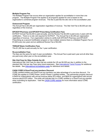#### **Multiple Program Fee**

The Multiple Program Fee occurs when an organization applies for accreditation in more than one program. The Multiple Program Fee applies to all programs applied for and is based on the organization's combined program revenues. This fee is paid like the site visit on the accreditation year.

#### **Outsourced Program**

The Annual Fee is \$4,250 per organization regardless of revenue. The Site Visit Fee is \$5,000 per site regardless of the revenue.

#### **EPCSCP-Pharmacy and EPCSCP-Prescribing Certification Fees**

ECPSCP Annual Fee \$3,250 is paid annually, and the Review Fee \$4,000 is paid every 2 years with the certification. There is no site visit required for ECPSCP. The Annual Fee is \$3,250 per organization regardless of revenue. If an organization wishes to certify both EPCSCP-Pharmacy and EPCSCP-Prescribing as a second Certification program or has multiple versions there is a Multiple Program Fee of \$1,625 every two years and an additional Review Fee of \$4,000.

#### **TDRAAP-Basic Certification Fees**

This \$1,200 fee is paid annually for the 1-year certification.

#### **Re-accreditation Fees**

The fees are the same for each 2-year accreditation. The Annual Fee is paid each year and all other fees are paid every other year on the accreditation year.

#### **Site Visit Fees for Sites Outside the US**

International Site Visit Fees for sites that are outside the US are \$4,000 per day in addition to the standard Site Visit per day Fees (plus travel expenses). See [International Travel Process](https://www.ehnac.org/wp-content/uploads/2018/04/International-Travel-Process.pdf) for additional fee details. See [International Accreditation page](https://www.ehnac.org/international-accreditation/) for definitions and details.

#### **CAQH CORE & DirectTrust.org members Discount**

CORE certified entities and DirectTrust.org members can take advantage of a one-time discount. For CORE this applies to CORE Phase I and/or Phase II certified entities. The partnership program discount is \$400 for organizations with annual revenue below \$75 million, and \$600 for organizations with annual revenue above \$75 million. The entity will indicate that it is CORE certified or a DirectTrust.org member when submitting its Application. View the [CAQH CORE website](https://www.caqh.org/core/caqh-core) for more information about CORE certification.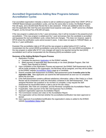## <span id="page-8-0"></span>**Accredited Organizations Adding New Programs between Accreditation Cycles**

If an accredited organization indicates a desire to add an additional program [other than OSAP, EPCS or TDRAAP-Basic] between accreditation cycles, and has the same sites to review, the Multiple Program Fee will apply, and a \$3,000 Desk Review fee is also assessed. If there are additional sites to review, then the applicable Site Visit Fee and associated travel expense costs apply. OSAP cannot be a Multiple Program, so the Annual Fee of \$4,250 will apply.

If the new program is added prior to the 1-year anniversary, then it will be included in the present/current accreditation. If the new program is added post the 1-year anniversary then the candidate is accredited and bypasses the next accreditation cycle, unless there are changes. This does not, however, apply to EPCS where the certification cycle cannot exceed 2 years. It also does not apply to TDRAAP-Basic, as that is a 1-year certification.

Example if the accreditation date is 6/1/20 and the new program is added before 6/1/21 it will be incorporated into the current [2020] accreditation cycle and be included in the next [2022] accreditation. If the new program is added after 6/1/21 only changes will need to be reported during the next [2022] accreditation and it will be incorporated into the following [2024] accreditation cycle.

#### **Summary of the Adding Multiple Program Process**

- 1. Application Process:
	- a. Complete the electronic [Application](http://www.ehnac.org/pre-application-form/) on the EHNAC website.
	- b. Make payment of applicable fees electronically or via check [Multiple Program, Site Visit Fee(s), Desk Review] to EHNAC.
- 2. Upon completion of the Application Process and approval, the EHNAC Self-Assessment zip file will be made available to the organization, the Reviewer will be assigned, and they will be added to the EHNAC website [Accreditation Status](http://www.ehnac.org/accredited-organizations/) page as a Candidate.
- 3. Submit complete Self-Assessment via EHNAC Self-assessment portal **4 months prior to the expiration date**. New applicants can submit the Self-assessment as soon as it is completed before the due date.
- 4. If the Self-Assessment contains sufficient satisfactory information, either a Site Visit(s) or a Desk Review will be scheduled to verify the information contained in the Self-Assessment. If the assigned Reviewer has questions or do not feel it is complete, it may request the Self-Assessment be resubmitted before a date is set for the site visit(s).
- 5. If applicable, Site Visits are completed, and the Reviewer completes the Accreditation Report.
- 6. If applicable, make payment of the Site Visit Expenses Fee to EHNAC.
- 7. Applicant organization approves Accreditation Report.
- 8. The Commission reviews and votes on the Accreditation Report.
- 9. The organization will be informed whether the accreditation/certification has been approved or denied.
- 10. Upon approval of accreditation/certification the organization's status is added to the EHNAC website [Accreditation Status](http://www.ehnac.org/accredited-organizations/) page.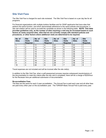## <span id="page-9-0"></span>**Site Visit Fees**

The Site Visit Fee is charged for each site reviewed. The Site Visit Fee is based on a per day fee for all programs.

For financial organizations with multiple lockbox facilities and for OSAP applicants that have sites that perform the same function, and which demonstrate adherence to the same policies and procedures, a site visit rotation will be used to accredit the candidate as shown in the following table. **NOTE: This table provides guidelines only, as the number of sites requiring a visit may be increased based on such factors as newly acquired sites, sites that do not currently comply with standard policies and procedures, or other factors where additional visits are determined to be required.** 

| No. of<br><b>Sites</b> | <b>Site</b><br><b>Visits</b><br><b>Required</b> | No. of<br><b>Sites</b> | <b>Site</b><br><b>Visits</b><br><b>Required</b> | No. of<br><b>Sites</b> | <b>Site</b><br><b>Visits</b><br><b>Required</b> | No. of<br><b>Sites</b> | <b>Site</b><br><b>Visits</b><br><b>Required</b> |
|------------------------|-------------------------------------------------|------------------------|-------------------------------------------------|------------------------|-------------------------------------------------|------------------------|-------------------------------------------------|
|                        |                                                 | 11                     | 4                                               | 21                     | 6                                               | 31                     |                                                 |
| 2                      | $\overline{2}$                                  | 12                     | 4                                               | 22                     | 6                                               | 32                     | 7                                               |
| 3                      | 2                                               | 13                     | 4                                               | 23                     | 6                                               | 33                     | 7                                               |
| 4                      | 2                                               | 14                     | 5                                               | 24                     | 6                                               | 34                     | ⇁                                               |
| 5                      | 3                                               | 15                     | 5                                               | 25                     | 6                                               | 35                     | 8                                               |
| 6                      | 3                                               | 16                     | 5                                               | 26                     | 6                                               | 36                     | 8                                               |
|                        | 3                                               | 17                     | 5                                               | 27                     | 7                                               | 37                     | 8                                               |
| 8                      | 3                                               | 18                     | 5                                               | 28                     | 7                                               | 38                     | 8                                               |
| 9                      | 4                                               | 19                     | 5                                               | 29                     | 7                                               | 39                     | 8                                               |
| 10                     | 4                                               | 20                     | 6                                               | 30                     | 7                                               | 40                     | 8                                               |

Travel expenses are not included and will be invoiced after the site visit(s).

In addition to the Site Visit Fee, when a self-assessment process requires subsequent resubmissions of the documentation to meet the criteria after the site visit is completed, there will be a charge of \$225/hour for the Reviewer time per additional submission of documentation.

#### **Re-accreditation Fees**

The fees are the same for each 2-year accreditation. The Annual Fee is paid each year and all other fees are paid every other year on the accreditation year. The TDRAAP-Basic Annual Fee is paid every year.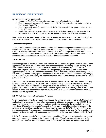## <span id="page-10-0"></span>**Submission Requirements**

Applicant organizations must submit:

- 1. Annual and Site Visit Fees and other applicable fees (Electronically or mailed)
- 2. Signed Applicant Agreement (Uploaded to the EHNAC "Log an Application" portal, emailed or faxed to 860-760-6630)
- 3. Signed Sentinel Events (Uploaded to the EHNAC "Log an Application" portal, emailed or faxed to 860-760-6630)
- 4. Verification statement of organization's revenue related to the program they are applying for (Uploaded to the EHNAC "Log an Application" portal, emailed or faxed to 860-760-6630)

Upon receipt of all the above items, EHNAC will then review the documents to determine if the Applicant is accepted by EHNAC for accreditation processing and further review by the Commission.

#### **Application acceptance**

An organization must be established and be able to submit 6 months of operating income and production data related to the criteria in order to become accredited. An organization can apply and obtain Candidate Status however must have 6 months of operating income and production data related to the criteria before the Self-assessment can be submitted. The Self-assessment is submitted within 8 months of the application approval process, so this does allow the timeframe to have the data.

#### **TDRAAP-Basic:**

When the applicant completes the application process, the applicant is assigned Candidate Status. If the application is not approved; the application fees are returned (less a processing charge of \$200). If the candidate withdraws from or does not complete the application process for the TDRAAP-Basic certification program within three (3) months after receipt of payment, no funds paid as part of the application process will be refunded to the candidate. *NOTE: The candidate must formally notify EHNAC within three (3) months of the payment receipt date to receive a refund (less the \$200 processing charge).* For re-certification, no fees paid by the organization will be refunded after three (3) months from receipt of payment by EHNAC.

If the TDRAAP-Basic certification expires, any unused non-refundable TDRAAP-Basic Annual Fees may be applied toward a subsequent TDRAAP-Basic certification for up to six (6) months from the expiration date. The Application Process must be completed by the last day of the six (6) month period for the payment to be applied to the new certification. Note: An organization must formally notify EHNAC of their intent to re-apply and use the remaining funds toward a new TDRAAP-Basic certification within four (4) months after the expiration date.

#### **EHNAC Full Accreditation/Certification Programs:**

When the applicant completes the application process, the applicant is awarded Candidate Status. If the application is not approved, the application fees are returned (less a processing charge of \$500). If the candidate withdraws from or does not complete the application process for the accreditation program within three (3) months after receipt of payment, no funds paid as part of the application process will be refunded to the candidate. *NOTE: The candidate must formally notify EHNAC prior to three (3) months from the acceptance date to receive a refund (less the \$500 processing charge).* For Re-accreditation, no fees paid by the organization will be refunded after three (3) months from receipt of payment by EHNAC.

EHNAC Self-Assessment zip file is made available to candidate. This contains all of the instructions and documentation needed to complete the Accreditation Report. *(If this is a re-accreditation submission, assure that any previous recommendations made in the accreditation report are addressed as well.)*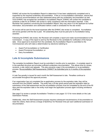EHNAC will review the Accreditation Report to determine if it has been satisfactorily completed and is supported by the required evidentiary documentation. If this is a re-accreditation submission, assure that any previous recommendations are also addressed along with any evidentiary documentation as well. Once EHNAC has accepted the candidate's Accreditation Report, EHNAC will contact the candidate to schedule a date for an EHNAC site review to verify compliance with the information reported. If the Reviewer has questions concerning the Accreditation Report, they may return it to the applicant for further information, documentation and clarification before a date is scheduled for the site review.

An invoice will be sent for the travel expenses after the EHNAC site review is completed. Accreditation will not be granted until this fee is paid. All outstanding fees must be paid prior to Accreditation being awarded.

Following the EHNAC site review, the Reviewer will complete a report and make recommendations to the Commission. A copy of the report is sent by the Reviewer to the candidate for verification of the factual data. Once approval is received from the candidate, the Accreditation Report is submitted to the Commissioners who will make a determination by electronic balloting to:

- Award Full Accreditation or Certification
- Award Provisional Accreditation; or
- Deny Accreditation.

## <span id="page-11-0"></span>**Late & Incomplete Submissions**

The complete Accreditation Report must be submitted 4 months prior to expiration**.** A complete report is in the specified structure and provides sufficient evidentiary documentation. This allows time for review, revisions, a site visit(s) and appeals. This also prevents a gap in the accreditation or re-accreditation process. Re-accreditation Self-Assessments CANNOT be submitted prior to 4 months of the expiration date.

A Late Fee penalty is issued for each month the Self-Assessment is late. Penalties continue to accumulate throughout the approval process.

If an organization has not completed the re-application process by the expiration date, they will be removed from the EHNAC website. The entity has a 30-day grace period past the expiration date for submission of the Self-assessment and the accreditation process must be completed by the end of the 90 days past the expiration date or the entity must begin the application process again including remittance of all fees.

See page 5 to review a sample Accreditation Timeline or see pages 12-13 for more details on the Late Submission Policies.

Additionally, when the Self-Assessment process requires subsequent resubmissions of documentation to meet the criteria, there will be a charge of \$225/hour for Reviewer time per each additional submission of documentation.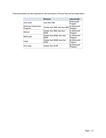Financial penalties are also assessed for late submission of Annual Fees and are listed below.

|                                  | <b>Revenue</b>                         | <b>Late penalty</b>       |
|----------------------------------|----------------------------------------|---------------------------|
| Very small                       | Less than \$3M                         | \$750/month/<br>Program   |
| Small and Outsourced<br>Programs | Greater than \$3M; less than \$8M      | \$1,000/month<br>/Program |
| Medium                           | Greater than \$8M; less than<br>\$20M  | \$1,500/month<br>/Program |
| Med/Large                        | Greater than \$20M; less than<br>\$50M | \$1,500/month<br>/Program |
| Large                            | Greater than \$50M; less than<br>\$75M | \$2,000/month/<br>Program |
| Very large                       | Greater than \$75M                     | \$2,000/month<br>/Program |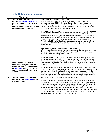# <span id="page-13-0"></span>**Late Submission Policies**

|                | <b>Situation</b>                                                                                                                                                                                       | <b>Policy</b>                                                                                                                                                                                                                                                                                                                                                                                                                                                                                                                                                                                                                                                                         |
|----------------|--------------------------------------------------------------------------------------------------------------------------------------------------------------------------------------------------------|---------------------------------------------------------------------------------------------------------------------------------------------------------------------------------------------------------------------------------------------------------------------------------------------------------------------------------------------------------------------------------------------------------------------------------------------------------------------------------------------------------------------------------------------------------------------------------------------------------------------------------------------------------------------------------------|
| 1              | When an Applicant/ Re-applicant<br>pays the Annual &/or Site Visit Fees<br>and is not approved, withdraws, or<br>does not complete the application<br>process within three (3) months from             | <b>TDRAAP-Basic Certification Program</b><br>If the application is not approved the application fees are returned (less a<br>processing charge of \$200). If the candidate withdraws from or does not<br>complete the application process for the TDRAAP-Basic certification program<br>within three (3) months after receipt of payment, no funds paid as part of the                                                                                                                                                                                                                                                                                                                |
|                | receipt of payment by EHNAC.                                                                                                                                                                           | application process will be refunded to the candidate.<br>If the TDRAAP-Basic certification expires any unused, non-refundable TDRAAP-<br>Basic Annual Fees may be applied toward a subsequent TDRAAP-Basic<br>certification for up to six (6) months from the expiration date. The Application<br>Process must be completed by the last day of the six (6) month period for the<br>payment to be applied to the new certification. Note: An organization must<br>formally notify EHNAC of their intent to re-apply and use the remaining funds<br>toward a new TDRAAP-Basic certification within four (4) months after the<br>expiration date.                                       |
|                |                                                                                                                                                                                                        | <b>EHNAC Full Accreditation/Certification Programs</b><br>When the applicant completes the application process, the applicant is awarded<br>Candidate Status. If the application is not approved the application fees are<br>returned (less a processing charge of \$500).                                                                                                                                                                                                                                                                                                                                                                                                            |
|                |                                                                                                                                                                                                        | If the candidate withdraws from or does not complete the application process for<br>the accreditation program within three (3) months after receipt of payment no<br>funds paid as part of the application process will be refunded to the candidate.                                                                                                                                                                                                                                                                                                                                                                                                                                 |
| $\overline{2}$ | When a first-time accredited<br>organization or organization with an<br>Annual Fee adjustment does not pay<br>the Annual Fee and any applicable<br>fees within one month after they are<br>accredited. | The accredited organization is issued an invoice and is given 30 days to remit<br>payment.<br>If payment is not received within 45 days from the invoice date, the organization<br>is removed from the EHNAC website, and will be reinstated on the website when<br>payment is received. Penalties will be assessed from the due date until the<br>Annual Fee is received. [Not pro-rated] If payment is not received within 120<br>days the organization is no longer accredited and must begin the process over.                                                                                                                                                                    |
| 3              | When an accredited organization<br>does not pay the Annual Fee by the<br>accreditation date.                                                                                                           | An invoice is issued 2 months before payment is due.<br>If the Annual Fee and Late Fee payment are not received within 45 days past<br>the Annual Fee due date the organization is removed from the EHNAC website<br>and will be reinstated on the website when payment is received. Penalties will<br>be assessed from the due date until the Annual Fee and any late fees are<br>received [Not pro-rated]. If the entity has not paid the Annual Fee and the<br>accrued late fees by the end of the 90 days past the Annual Fee due date, they<br>must begin the application process again. All incurred penalties must be paid<br>before a subsequent application can be approved. |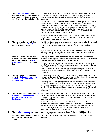| $\overline{\mathbf{4}}$ | When a Self-assessment is NOT<br>submitted by the due date (4 months<br>before expiration date) however it is<br>submitted before the expiration date. | The organization must submit a formal request for an extension and provide<br>reasons for the request. Penalties are issued for each month the Self-<br>assessment is late. Penalties will be assessed until the Self-assessment is<br>submitted.<br>Please note: EHNAC will send a correspondence to the Organization's contact<br>requesting the extension request or status, and if the organization doesn't<br>respond in writing within 7 days to the EHNAC correspondence indicating their<br>intention to proceed with the accreditation process and to submit when the Self-<br>assessment is due, then it will be assumed that the organization no longer<br>intends to maintain their accreditation status and will be removed from the<br>website and they will no longer be accredited.<br>If the Self-assessment is not submitted 1 month before the expiration date the |
|-------------------------|--------------------------------------------------------------------------------------------------------------------------------------------------------|---------------------------------------------------------------------------------------------------------------------------------------------------------------------------------------------------------------------------------------------------------------------------------------------------------------------------------------------------------------------------------------------------------------------------------------------------------------------------------------------------------------------------------------------------------------------------------------------------------------------------------------------------------------------------------------------------------------------------------------------------------------------------------------------------------------------------------------------------------------------------------------|
|                         |                                                                                                                                                        | late fee will start to accrue from the Self-assessment due date and will continue<br>until the date the accreditation is approved.                                                                                                                                                                                                                                                                                                                                                                                                                                                                                                                                                                                                                                                                                                                                                    |
| 5                       | When an accredited organization<br>completes the Application Process<br>after the Expiration Date.                                                     | As of the expiration date the organization is no longer accredited and is removed<br>from the EHNAC website and must begin the application process again. The late<br>fees must be paid from the Self-Assessment due date through the Expiration<br>date.<br>If the application process is completed after the expiration date the applicant                                                                                                                                                                                                                                                                                                                                                                                                                                                                                                                                          |
|                         |                                                                                                                                                        | will have a gap in their accreditation, must reapply again, and upon attaining<br>accreditation will be issued a new base accreditation number.                                                                                                                                                                                                                                                                                                                                                                                                                                                                                                                                                                                                                                                                                                                                       |
| 6                       | When an accredited organization<br>completes the Application Process<br>but has not submitted the Self-                                                | The organization must submit a formal request for an extension and provide<br>rationale for the request. Penalties are issued from the date the Self-assessment<br>was due (4 months prior to expiration) until accredited.                                                                                                                                                                                                                                                                                                                                                                                                                                                                                                                                                                                                                                                           |
|                         | assessment prior to the expiration<br>date.                                                                                                            | The entity has a 30-day grace period past the expiration date for submission of<br>the Self-assessment. The accreditation process must be completed by the end<br>of the 90 days past the expiration date or the entity will be removed from the<br>EHNAC website and must begin the application process again. All incurred<br>penalties must be paid before a subsequent application or accreditation can be<br>approved.                                                                                                                                                                                                                                                                                                                                                                                                                                                           |
| $\overline{7}$          | When an accredited organization<br>completes Self-assessment or the<br>accreditation process after the                                                 | The organization must submit a formal request for an extension and provide<br>rationale for the request. Penalties are issued from the date the Self-assessment<br>was due (4 months prior to expiration) until accredited.                                                                                                                                                                                                                                                                                                                                                                                                                                                                                                                                                                                                                                                           |
|                         | expiration date`.                                                                                                                                      | The entity has a 30-day grace period past the expiration date for submission of<br>the Self-assessment and the accreditation process must be completed by the<br>end of the 90 days past the expiration date or the entity will be removed from<br>the EHNAC website and must begin the application process again. All incurred<br>penalties must be paid before a subsequent application or accreditation can be<br>approved.                                                                                                                                                                                                                                                                                                                                                                                                                                                        |
| 8                       | When an organization completes the<br>accreditation process however they<br>have not received HITRUST<br><b>Certification.</b>                         | When a HITRUST Assessment is conducted by another Assessor organization,<br>HITRUST Certification must be achieved by the accreditation expiration date in<br>order to be accepted as evidence for EHNAC Accreditation. Late fees as<br>described in #6 above.                                                                                                                                                                                                                                                                                                                                                                                                                                                                                                                                                                                                                        |
|                         |                                                                                                                                                        | If HITRUST Certification is not awarded, EHNAC will need all applicable<br>evidence provided within 2 weeks (or specified timeframe) and either a Desk<br>Review or additional Site Visit (and associated fees) will be required, at the<br>discretion of the Reviewer. All incurred penalties must be paid before a<br>subsequent application can be approved.                                                                                                                                                                                                                                                                                                                                                                                                                                                                                                                       |
| 9                       | When the Self-assessment process<br>requires submissions of<br>supplemental documentation and/or<br>additional site visits to meet the<br>Criteria.    | Late penalties remain the same as above. A charge of \$225/hour will be<br>assessed for Reviewer analysis time of additional documentation and evidence.<br>Charges for any additional site visits and Reviewer expenses can also be<br>assessed.                                                                                                                                                                                                                                                                                                                                                                                                                                                                                                                                                                                                                                     |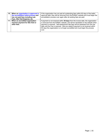| 10 | When an organization is approved in<br>the accreditation ballot process and<br>has not paid fees including Late<br>Fees, Site Visit Expense, etc. | If the organization has not paid all outstanding fees within 60 days of the ballot<br>approval date, they will be removed from the EHNAC website and must begin the<br>accreditation process over again after all existing fees are paid.                                                                                                                                                                                       |
|----|---------------------------------------------------------------------------------------------------------------------------------------------------|---------------------------------------------------------------------------------------------------------------------------------------------------------------------------------------------------------------------------------------------------------------------------------------------------------------------------------------------------------------------------------------------------------------------------------|
| 11 | When an accredited organization<br>requires payment for Site Visit or<br>other fees.                                                              | If payment is not received within 30 days from the invoice date, the organization<br>is removed from the EHNAC website, and will be reinstated on the website when<br>payment is received. Self-assessment late fees will be assessed from the due<br>date until the Fee is received. [Not pro-rated] If payment is not received within<br>90 days the organization is no longer accredited and must begin the process<br>over. |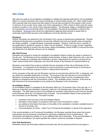## <span id="page-16-0"></span>**Site Visits**

Site visits are made to all accreditation candidates to validate the materials presented in the Accreditation Report, to conduct interviews with various individuals, to review facility security, etc*.* Sites visited include both corporate sites and outsourced sites based on the services provided for the program under review. A minimum of one on-site visit is made, even if the organization is 100% virtual (in which case the review is held at a location in the vicinity of the corporate location). The Reviewer makes a confidential report to the Commission and recommends either: Full Accreditation, Provisional Accreditation or denial of the accreditation. [Reviewers](http://www.ehnac.org/about-leadership/site-reviewers) also advise the organizations regarding best practices to assist them to continually improve their services to the healthcare community that they serve.

#### **Reviewers**

EHNAC Reviewers are selected by the Commission from a group of experienced professionals. Periodic professional development is provided to ensure that sufficient resources and specific areas of expertise are always available. A single Reviewer is generally assigned. However, when the size or diversity of the organization's operations requires it, a team may be assigned. If there is a major concern regarding the Reviewer selected to conduct the site review, please immediately contact EHNAC to discuss the issue and determine if an alternate resource can be assigned.

#### **Site Visit Process**

Reviewers are required to review the candidate's Accreditation Report at least two weeks in advance of the site visit. The Reviewer and the candidate should develop, at least a week before the visit, a site visit schedule including any meetings with individuals or groups, requirements for access to records and an "open" period during which employees may have free access to the Reviewer for questions/follow-up.

Reviewers must restrict their review to activities that are necessary to their role as Reviewers for the Commission. It is important for the Reviewer to avoid involvement in personnel issues or becoming an advocate for any individual or group involved in making internal decisions.

At the conclusion of the site visit, the Reviewer conducts an exit interview with the CEO, or designee, and any others the candidate determines to include. The purpose of the exit interview is to summarize the Reviewer's conclusions about the accuracy of the Accreditation Report and the completeness of the degrees of compliance with the Commission's criteria. The candidate cannot, however, at this time be fully informed of all recommendations to be made by the Reviewer to the Commission.

#### **Accreditation Report**

An Accreditation report is completed by the Reviewer within ten (10) business days of the site visit, or, if follow-up evidentiary documentation is required, within ten (10) business days of receipt of the follow-up information. The draft report is sent to the candidate for correction of factual errors and must be returned to the Reviewer within ten (10) business days of receipt. The Accreditation Report is then presented to the Commission by the Reviewer. The report includes:

- evaluation of the accuracy of the Accreditation Report.
- description of the degree of compliance with each of the Commission's criteria.
- any additional information that bears on the ability of the candidate to maintain creditable levels of service to its clients; and
- recommendations for action either Full or Provisional Accreditation or denial of the application.

If the recommendation is for Provisional Accreditation, the Reviewer specifies those areas that require improvement and recommends a timeframe for achieving a satisfactory level of performance. The Commission will determine whether or not an additional site visit is necessary. If the recommendation is for denial of accreditation, the report specifies the criteria in which the candidate is deficient.

#### **Post Visit Restrictions**

Reviewers cannot use information obtained during the site visit for personal profit and must agree in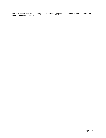writing to refrain, for a period of one year, from accepting payment for personal, business or consulting services from the candidate.